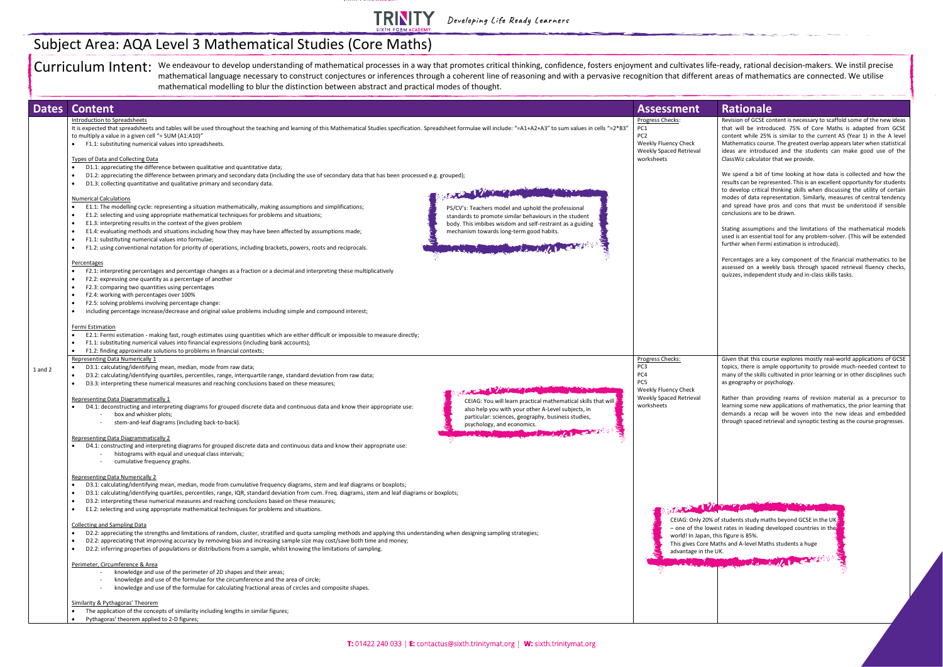

Developing Life Ready Learners

Curriculum Intent: We endeavour to develop understanding of mathematical processes in a way that promotes critical thinking, confidence, fosters enjoyment and cultivates life-ready, rational decision-makers. We instil prec mathematical language necessary to construct conjectures or inferences through a coherent line of reasoning and with a pervasive recognition that different areas of mathematics are connected. We utilise mathematical modelling to blur the distinction between abstract and practical modes of thought.

| <b>Dates</b> | <b>Content</b>                                                                                                                                                                                                                                                                                                                                                                                                                                                                                                                                                                                                                                                                                                                                                                                                                                                                                                                                                                                                                                                                                                                                                                                                                                                                                                                                                                                                                                                                                                                                     | <b>Assessment</b>                                                                                                                                                                                               | <b>Rationale</b>                                                                                                                                                                                      |
|--------------|----------------------------------------------------------------------------------------------------------------------------------------------------------------------------------------------------------------------------------------------------------------------------------------------------------------------------------------------------------------------------------------------------------------------------------------------------------------------------------------------------------------------------------------------------------------------------------------------------------------------------------------------------------------------------------------------------------------------------------------------------------------------------------------------------------------------------------------------------------------------------------------------------------------------------------------------------------------------------------------------------------------------------------------------------------------------------------------------------------------------------------------------------------------------------------------------------------------------------------------------------------------------------------------------------------------------------------------------------------------------------------------------------------------------------------------------------------------------------------------------------------------------------------------------------|-----------------------------------------------------------------------------------------------------------------------------------------------------------------------------------------------------------------|-------------------------------------------------------------------------------------------------------------------------------------------------------------------------------------------------------|
|              | Introduction to Spreadsheets<br>It is expected that spreadsheets and tables will be used throughout the teaching and learning of this Mathematical Studies specification. Spreadsheet formulae will include: "=A1+A2+A3" to sum values in cells "=2*B3"<br>to multiply a value in a given cell "= SUM (A1:A10)"<br>F1.1: substituting numerical values into spreadsheets.<br>Types of Data and Collecting Data                                                                                                                                                                                                                                                                                                                                                                                                                                                                                                                                                                                                                                                                                                                                                                                                                                                                                                                                                                                                                                                                                                                                     | Progress Checks:<br>PC1<br>PC <sub>2</sub><br>Weekly Fluency Check<br>Weekly Spaced Retrieval<br>worksheets                                                                                                     | Revision of GCSE co<br>that will be introd<br>content while 25%<br><b>Mathematics cours</b><br>ideas are introduc<br>ClassWiz calculator                                                              |
|              | D1.1: appreciating the difference between qualitative and quantitative data;<br>D1.2: appreciating the difference between primary and secondary data (including the use of secondary data that has been processed e.g. grouped);<br>D1.3: collecting quantitative and qualitative primary and secondary data.<br>STATISTICS.<br><b>Numerical Calculations</b><br>E1.1: The modelling cycle: representing a situation mathematically, making assumptions and simplifications;<br>$\bullet$<br>PS/CV's: Teachers model and uphold the professional<br>E1.2: selecting and using appropriate mathematical techniques for problems and situations;<br>standards to promote similar behaviours in the student<br>E1.3: interpreting results in the context of the given problem<br>body. This imbibes wisdom and self-restraint as a guiding<br>E1.4: evaluating methods and situations including how they may have been affected by assumptions made;<br>mechanism towards long-term good habits.<br>$\bullet$<br>F1.1: substituting numerical values into formulae;<br>$\bullet$<br>The Manual Month of the Manual Andrews<br>F1.2: using conventional notation for priority of operations, including brackets, powers, roots and reciprocals.<br>$\bullet$                                                                                                                                                                                                                                                                                           |                                                                                                                                                                                                                 | We spend a bit of<br>results can be repre<br>to develop critical<br>modes of data repi<br>and spread have p<br>conclusions are to I<br>Stating assumptior<br>used is an essentia<br>further when Ferm |
|              | Percentages<br>F2.1: interpreting percentages and percentage changes as a fraction or a decimal and interpreting these multiplicatively<br>F2.2: expressing one quantity as a percentage of another<br>F2.3: comparing two quantities using percentages<br>$\bullet$<br>F2.4: working with percentages over 100%<br>$\bullet$<br>F2.5: solving problems involving percentage change:<br>including percentage increase/decrease and original value problems including simple and compound interest;<br>Fermi Estimation<br>E2.1: Fermi estimation - making fast, rough estimates using quantities which are either difficult or impossible to measure directly;<br>F1.1: substituting numerical values into financial expressions (including bank accounts);                                                                                                                                                                                                                                                                                                                                                                                                                                                                                                                                                                                                                                                                                                                                                                                        |                                                                                                                                                                                                                 | Percentages are a<br>assessed on a wee<br>quizzes, independe                                                                                                                                          |
| $1$ and $2$  | F1.2: finding approximate solutions to problems in financial contexts;<br>$\bullet$<br>Representing Data Numerically 1<br>D3.1: calculating/identifying mean, median, mode from raw data;<br>D3.2: calculating/identifying quartiles, percentiles, range, interquartile range, standard deviation from raw data;<br>$\bullet$<br>D3.3: interpreting these numerical measures and reaching conclusions based on these measures;<br>STATISTICS OF THE PARTY<br>Representing Data Diagrammatically 1<br>CEIAG: You will learn practical mathematical skills that will<br>D4.1: deconstructing and interpreting diagrams for grouped discrete data and continuous data and know their appropriate use:<br>also help you with your other A-Level subjects, in<br>box and whisker plots;<br>particular: sciences, geography, business studies,<br>stem-and-leaf diagrams (including back-to-back).<br>psychology, and economics.<br>$\mu$ algorithm<br>Representing Data Diagrammatically 2<br>D4.1: constructing and interpreting diagrams for grouped discrete data and continuous data and know their appropriate use:                                                                                                                                                                                                                                                                                                                                                                                                                                | Progress Checks:<br>PC <sub>3</sub><br>PC4<br>PC5<br>Weekly Fluency Check<br>Weekly Spaced Retrieval<br>worksheets                                                                                              | Given that this cou<br>topics, there is am<br>many of the skills c<br>as geography or ps<br>Rather than provid<br>learning some new<br>demands a recap<br>through spaced ret                          |
|              | histograms with equal and unequal class intervals;<br>cumulative frequency graphs.<br><b>Representing Data Numerically 2</b><br>D3.1: calculating/identifying mean, median, mode from cumulative frequency diagrams, stem and leaf diagrams or boxplots;<br>D3.1: calculating/identifying quartiles, percentiles, range, IQR, standard deviation from cum. Freq. diagrams, stem and leaf diagrams or boxplots;<br>D3.2: interpreting these numerical measures and reaching conclusions based on these measures;<br>E1.2: selecting and using appropriate mathematical techniques for problems and situations.<br>$\bullet$<br><b>Collecting and Sampling Data</b><br>D2.2: appreciating the strengths and limitations of random, cluster, stratified and quota sampling methods and applying this understanding when designing sampling strategies;<br>D2.2: appreciating that improving accuracy by removing bias and increasing sample size may cost/save both time and money;<br>D2.2: inferring properties of populations or distributions from a sample, whilst knowing the limitations of sampling.<br>$\bullet$<br>Perimeter, Circumference & Area<br>knowledge and use of the perimeter of 2D shapes and their areas;<br>knowledge and use of the formulae for the circumference and the area of circle;<br>knowledge and use of the formulae for calculating fractional areas of circles and composite shapes.<br>Similarity & Pythagoras' Theorem<br>The application of the concepts of similarity including lengths in similar figures; | <b>STATISTICS</b><br>CEIAG: Only 20% of students study mat<br>- one of the lowest rates in leading de<br>world! In Japan, this figure is 85%.<br>This gives Core Maths and A-level Math<br>advantage in the UK. |                                                                                                                                                                                                       |

| ment                                 | <b>Rationale</b>                                                                                                                                                                                                                                                                                                                                                                                             |
|--------------------------------------|--------------------------------------------------------------------------------------------------------------------------------------------------------------------------------------------------------------------------------------------------------------------------------------------------------------------------------------------------------------------------------------------------------------|
| :cks:<br>าcy Check<br>ed Retrieval   | Revision of GCSE content is necessary to scaffold some of the new ideas<br>that will be introduced. 75% of Core Maths is adapted from GCSE<br>content while 25% is similar to the current AS (Year 1) in the A level<br>Mathematics course. The greatest overlap appears later when statistical<br>ideas are introduced and the students can make good use of the<br>ClassWiz calculator that we provide.    |
|                                      | We spend a bit of time looking at how data is collected and how the<br>results can be represented. This is an excellent opportunity for students<br>to develop critical thinking skills when discussing the utility of certain<br>modes of data representation. Similarly, measures of central tendency<br>and spread have pros and cons that must be understood if sensible<br>conclusions are to be drawn. |
|                                      | Stating assumptions and the limitations of the mathematical models<br>used is an essential tool for any problem-solver. (This will be extended<br>further when Fermi estimation is introduced).                                                                                                                                                                                                              |
|                                      | Percentages are a key component of the financial mathematics to be<br>assessed on a weekly basis through spaced retrieval fluency checks,<br>quizzes, independent study and in-class skills tasks.                                                                                                                                                                                                           |
|                                      |                                                                                                                                                                                                                                                                                                                                                                                                              |
| <u>:cks:</u>                         | Given that this course explores mostly real-world applications of GCSE<br>topics, there is ample opportunity to provide much-needed context to<br>many of the skills cultivated in prior learning or in other disciplines such<br>as geography or psychology.                                                                                                                                                |
| าcy Check<br>ed Retrieval            | Rather than providing reams of revision material as a precursor to<br>learning some new applications of mathematics, the prior learning that<br>demands a recap will be woven into the new ideas and embedded<br>through spaced retrieval and synoptic testing as the course progresses.                                                                                                                     |
|                                      |                                                                                                                                                                                                                                                                                                                                                                                                              |
|                                      |                                                                                                                                                                                                                                                                                                                                                                                                              |
| world! In Japan, this figure is 85%. | CEIAG: Only 20% of students study maths beyond GCSE in the UK $\frac{1}{3}$<br>- one of the lowest rates in leading developed countries in the<br>This gives Core Maths and A-level Maths students a huge                                                                                                                                                                                                    |

## Subject Area: AQA Level 3 Mathematical Studies (Core Maths)